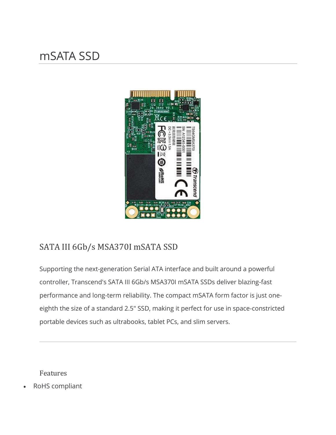## mSATA SSD



## SATA III 6Gb/s MSA370I mSATA SSD

Supporting the next-generation Serial ATA interface and built around a powerful controller, Transcend's SATA III 6Gb/s MSA370I mSATA SSDs deliver blazing-fast performance and long-term reliability. The compact mSATA form factor is just oneeighth the size of a standard 2.5" SSD, making it perfect for use in space-constricted portable devices such as ultrabooks, tablet PCs, and slim servers.

Features

• RoHS compliant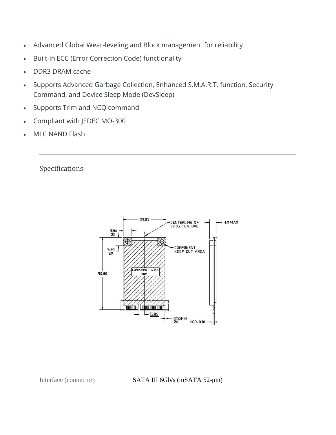- Advanced Global Wear-leveling and Block management for reliability
- Built-in ECC (Error Correction Code) functionality
- DDR3 DRAM cache
- Supports Advanced Garbage Collection, Enhanced S.M.A.R.T. function, Security Command, and Device Sleep Mode (DevSleep)
- Supports Trim and NCQ command
- Compliant with JEDEC MO-300
- MLC NAND Flash

Specifications



Interface (connector) SATA III 6Gb/s (mSATA 52-pin)